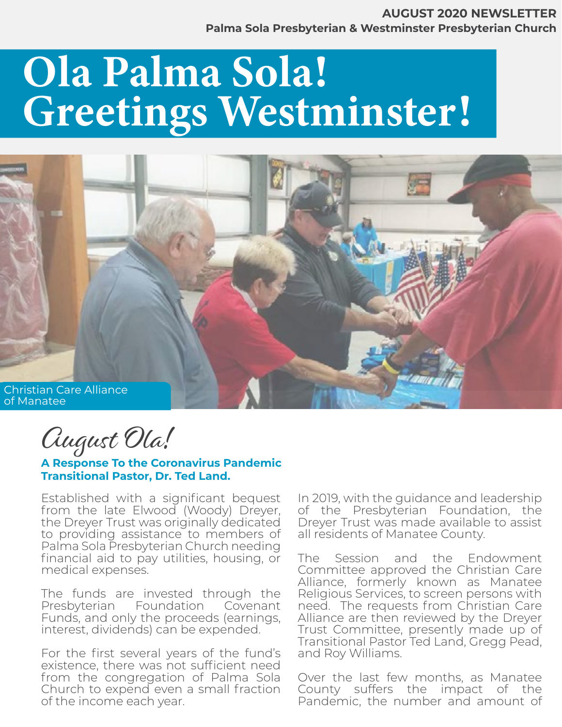## Ola Palma Sola! Greetings Westminster!



August Ola!

**A Response To the Coronavirus Pandemic Transitional Pastor, Dr. Ted Land.** 

Established with a significant bequest from the late Elwood (Woody) Dreyer, the Dreyer Trust was originally dedicated to providing assistance to members of Palma Sola Presbyterian Church needing financial aid to pay utilities, housing, or medical expenses.

The funds are invested through the Presbyterian Foundation Covenant Funds, and only the proceeds (earnings, interest, dividends) can be expended.

For the first several years of the fund's existence, there was not sufficient need from the congregation of Palma Sola Church to expend even a small fraction of the income each year.

In 2019, with the guidance and leadership of the Presbyterian Foundation, the Dreyer Trust was made available to assist all residents of Manatee County.

The Session and the Endowment Committee approved the Christian Care Alliance, formerly known as Manatee Religious Services, to screen persons with need. The requests from Christian Care Alliance are then reviewed by the Dreyer Trust Committee, presently made up of Transitional Pastor Ted Land, Gregg Pead, and Roy Williams.

Over the last few months, as Manatee County suffers the impact of the Pandemic, the number and amount of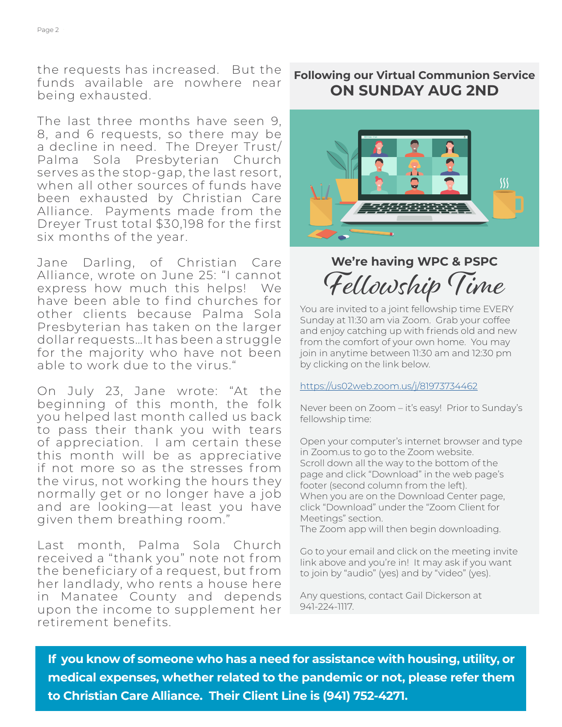the requests has increased. But the funds available are nowhere near being exhausted.

The last three months have seen 9, 8, and 6 requests, so there may be a decline in need. The Dreyer Trust/ Palma Sola Presbyterian Church serves as the stop-gap, the last resort, when all other sources of funds have been exhausted by Christian Care Alliance. Payments made from the Dreyer Trust total \$30,198 for the first six months of the year.

Jane Darling, of Christian Care Alliance, wrote on June 25: "I cannot express how much this helps! We have been able to find churches for other clients because Palma Sola Presbyterian has taken on the larger dollar requests…It has been a struggle for the majority who have not been able to work due to the virus."

On July 23, Jane wrote: "At the beginning of this month, the folk you helped last month called us back to pass their thank you with tears of appreciation. I am certain these this month will be as appreciative if not more so as the stresses from the virus, not working the hours they normally get or no longer have a job and are looking—at least you have given them breathing room."

Last month, Palma Sola Church received a "thank you" note not from the beneficiary of a request, but from her landlady, who rents a house here in Manatee County and depends upon the income to supplement her retirement benefits.

#### **Following our Virtual Communion Service ON SUNDAY AUG 2ND**



## **We're having WPC & PSPC**  Fellowship Time

You are invited to a joint fellowship time EVERY Sunday at 11:30 am via Zoom. Grab your coffee and enjoy catching up with friends old and new from the comfort of your own home. You may join in anytime between 11:30 am and 12:30 pm by clicking on the link below.

#### [https://us02web.zoom.us/j/81973734462](https://us02web.zoom.us/j/81973734462 )

Never been on Zoom – it's easy! Prior to Sunday's fellowship time:

Open your computer's internet browser and type in Zoom.us to go to the Zoom website. Scroll down all the way to the bottom of the page and click "Download" in the web page's footer (second column from the left). When you are on the Download Center page, click "Download" under the "Zoom Client for Meetings" section.

The Zoom app will then begin downloading.

Go to your email and click on the meeting invite link above and you're in! It may ask if you want to join by "audio" (yes) and by "video" (yes).

Any questions, contact Gail Dickerson at 941-224-1117.

**If you know of someone who has a need for assistance with housing, utility, or medical expenses, whether related to the pandemic or not, please refer them to Christian Care Alliance. Their Client Line is (941) 752-4271.**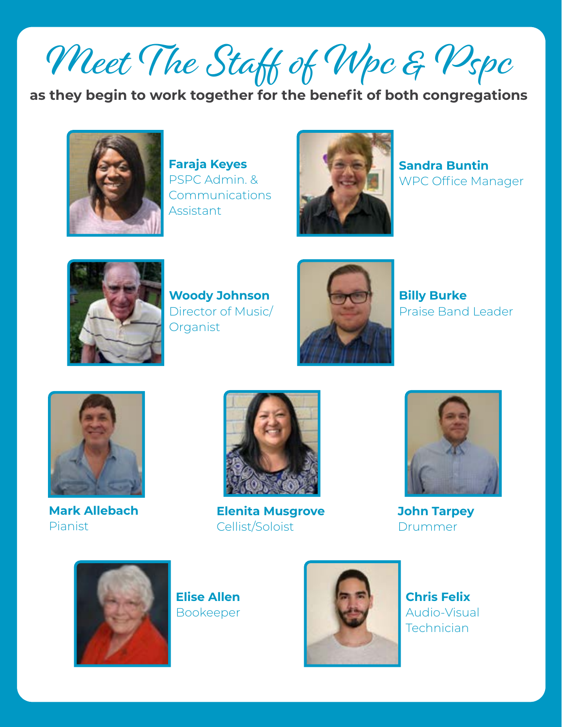Meet The Staff of Wpc & Pspc

**as they begin to work together for the benefit of both congregations**



**Faraja Keyes** PSPC Admin. & Communications Assistant



**Sandra Buntin** WPC Office Manager



**Woody Johnson** Director of Music/ Organist



**Billy Burke** Praise Band Leader



**Mark Allebach** Pianist



**Elenita Musgrove** Cellist/Soloist



**John Tarpey** Drummer



**Elise Allen** Bookeeper



**Chris Felix** Audio-Visual Technician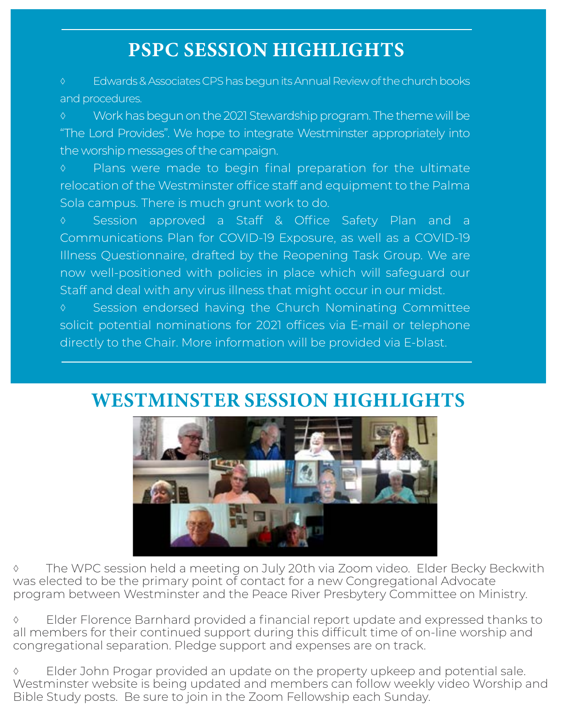## PSPC SESSION HIGHLIGHTS

◊ Edwards & Associates CPS has begun its Annual Review of the church books and procedures.

◊ Work has begun on the 2021 Stewardship program. The theme will be "The Lord Provides". We hope to integrate Westminster appropriately into the worship messages of the campaign.

◊ Plans were made to begin final preparation for the ultimate relocation of the Westminster office staff and equipment to the Palma Sola campus. There is much grunt work to do.

◊ Session approved a Staff & Office Safety Plan and a Communications Plan for COVID-19 Exposure, as well as a COVID-19 Illness Questionnaire, drafted by the Reopening Task Group. We are now well-positioned with policies in place which will safeguard our Staff and deal with any virus illness that might occur in our midst.

◊ Session endorsed having the Church Nominating Committee solicit potential nominations for 2021 offices via E-mail or telephone directly to the Chair. More information will be provided via E-blast.

## WESTMINSTER SESSION HIGHLIGHTS



◊ The WPC session held a meeting on July 20th via Zoom video. Elder Becky Beckwith was elected to be the primary point of contact for a new Congregational Advocate program between Westminster and the Peace River Presbytery Committee on Ministry.

◊ Elder Florence Barnhard provided a financial report update and expressed thanks to all members for their continued support during this difficult time of on-line worship and congregational separation. Pledge support and expenses are on track.

◊ Elder John Progar provided an update on the property upkeep and potential sale. Westminster website is being updated and members can follow weekly video Worship and Bible Study posts. Be sure to join in the Zoom Fellowship each Sunday.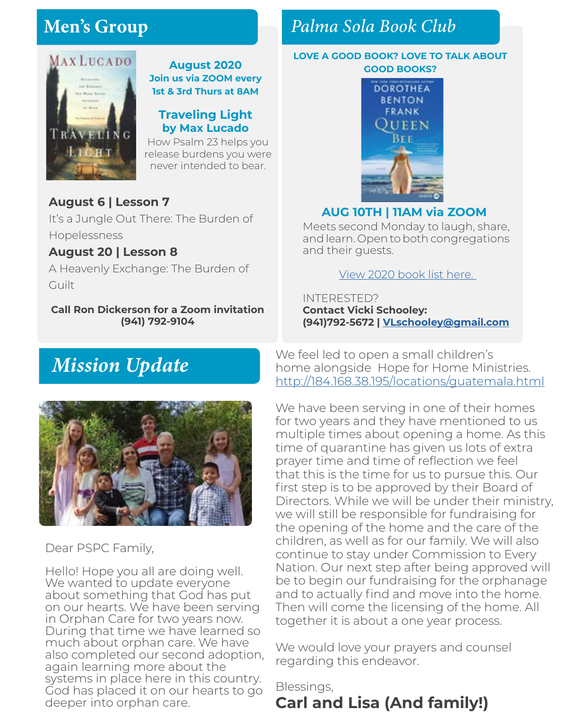## Men's Group



#### **August 2020 Join us via ZOOM every 1st & 3rd Thurs at 8AM**

#### **Traveling Light by Max Lucado**

How Psalm 23 helps you release burdens you were never intended to bear.

### **August 6 | Lesson 7**

It's a Jungle Out There: The Burden of Hopelessness

#### **August 20 | Lesson 8**

A Heavenly Exchange: The Burden of Guilt

#### **Call Ron Dickerson for a Zoom invitation (941) 792-9104**

## Men's Group *Palma Sola Book Club*

#### **LOVE A GOOD BOOK? LOVE TO TALK ABOUT GOOD BOOKS?**



#### **AUG 10TH | 11AM via ZOOM**

Meets second Monday to laugh, share, and learn. Open to both congregations and their guests.

#### [View 2020 book list here.](https://www.pspchurch.org/editoruploads/files/Other/Palma_Sola_Book_Club_2020_List.pdf)

INTERESTED? **Contact Vicki Schooley: (941)792-5672 | VL[schooley@gmail.com](mailto:vlschooley%40gmail.com?subject=)**

## *Mission Update*



Dear PSPC Family,

Hello! Hope you all are doing well. We wanted to update everyone about something that God has put on our hearts. We have been serving in Orphan Care for two years now. During that time we have learned so much about orphan care. We have also completed our second adoption, again learning more about the systems in place here in this country. God has placed it on our hearts to go deeper into orphan care.

We feel led to open a small children's home alongside Hope for Home Ministries. http://184.168.38.195/locations/guatemala.htm[l](http://184.168.38.195/locations/guatemala.html)

We have been serving in one of their homes for two years and they have mentioned to us multiple times about opening a home. As this time of quarantine has given us lots of extra prayer time and time of reflection we feel that this is the time for us to pursue this. Our first step is to be approved by their Board of Directors. While we will be under their ministry, we will still be responsible for fundraising for the opening of the home and the care of the children, as well as for our family. We will also continue to stay under Commission to Every Nation. Our next step after being approved will be to begin our fundraising for the orphanage and to actually find and move into the home. Then will come the licensing of the home. All together it is about a one year process.

We would love your prayers and counsel regarding this endeavor.

## Blessings, **Carl and Lisa (And family!)**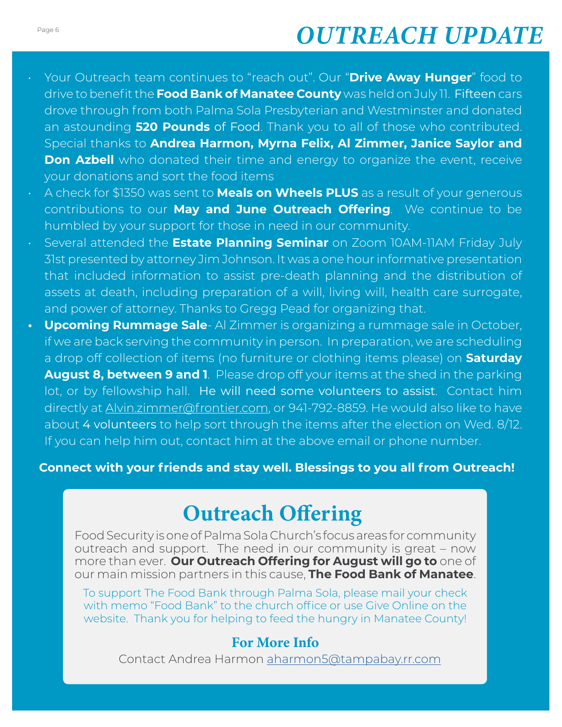## Page 6 **January 2020 - Green Concept** *OUTREACH UPDATE*

- Your Outreach team continues to "reach out". Our "**Drive Away Hunger**" food to drive to benefit the **Food Bank of Manatee County** was held on July 11. Fifteen cars drove through from both Palma Sola Presbyterian and Westminster and donated an astounding **520 Pounds** of Food. Thank you to all of those who contributed. Special thanks to **Andrea Harmon, Myrna Felix, Al Zimmer, Janice Saylor and Don Azbell** who donated their time and energy to organize the event, receive your donations and sort the food items
- A check for \$1350 was sent to **Meals on Wheels PLUS** as a result of your generous contributions to our **May and June Outreach Offering**. We continue to be humbled by your support for those in need in our community.
- Several attended the **Estate Planning Seminar** on Zoom 10AM-11AM Friday July 31st presented by attorney Jim Johnson. It was a one hour informative presentation that included information to assist pre-death planning and the distribution of assets at death, including preparation of a will, living will, health care surrogate, and power of attorney. Thanks to Gregg Pead for organizing that.
- **• Upcoming Rummage Sale** Al Zimmer is organizing a rummage sale in October, if we are back serving the community in person. In preparation, we are scheduling a drop off collection of items (no furniture or clothing items please) on **Saturday August 8, between 9 and 1**. Please drop off your items at the shed in the parking lot, or by fellowship hall. He will need some volunteers to assist. Contact him directly at [Alvin.zimmer@frontier.com](mailto:Alvin.zimmer@frontier.com), or 941-792-8859. He would also like to have about 4 volunteers to help sort through the items after the election on Wed. 8/12. If you can help him out, contact him at the above email or phone number.

**Connect with your friends and stay well. Blessings to you all from Outreach!**

## Outreach Offering

Food Security is one of Palma Sola Church's focus areas for community outreach and support. The need in our community is great – now more than ever. **Our Outreach Offering for August will go to** one of our main mission partners in this cause, **The Food Bank of Manatee**.

To support The Food Bank through Palma Sola, please mail your check with memo "Food Bank" to the church office or use Give Online on the website. Thank you for helping to feed the hungry in Manatee County!

#### For More Info

Contact Andrea Harmon [aharmon5@tampabay.rr.com](mailto:aharmon5%40tampabay.rr.com?subject=)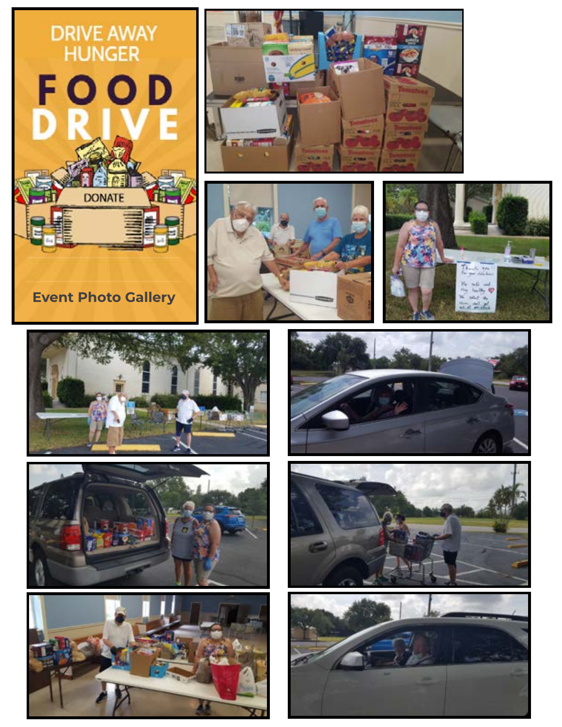# DRIVE AWAY<br>HUNGER FOOD **DONATE Event Photo Gallery**

















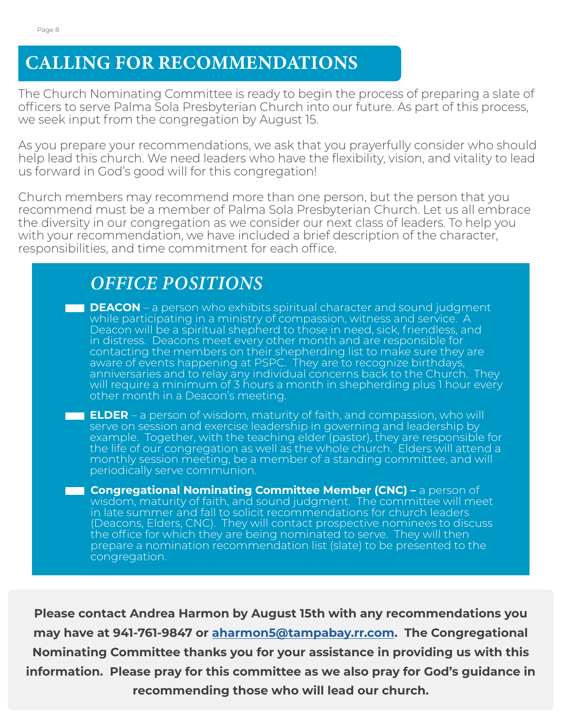The Church Nominating Committee is ready to begin the process of preparing a slate of officers to serve Palma Sola Presbyterian Church into our future. As part of this process, we seek input from the congregation by August 15.

As you prepare your recommendations, we ask that you prayerfully consider who should help lead this church. We need leaders who have the flexibility, vision, and vitality to lead us forward in God's good will for this congregation!

Church members may recommend more than one person, but the person that you recommend must be a member of Palma Sola Presbyterian Church. Let us all embrace the diversity in our congregation as we consider our next class of leaders. To help you with your recommendation, we have included a brief description of the character, responsibilities, and time commitment for each office.

| <b>OFFICE POSITIONS</b>                                                                                                                                                                                                                                                                                                                                                                                                                                                                                                                                                                                                                                                  |
|--------------------------------------------------------------------------------------------------------------------------------------------------------------------------------------------------------------------------------------------------------------------------------------------------------------------------------------------------------------------------------------------------------------------------------------------------------------------------------------------------------------------------------------------------------------------------------------------------------------------------------------------------------------------------|
| <b>DEACON</b> – a person who exhibits spiritual character and sound judgment<br>. .<br>while participating in a ministry of compassion, witness and service. A<br>Deacon will be a spiritual shepherd to those in need, sick, friendless, and<br>in distress. Deacons meet every other month and are responsible for<br>contacting the members on their shepherding list to make sure they are<br>aware of events happening at PSPC. They are to recognize birthdays,<br>anniversaries and to relay any individual concerns back to the Church. They<br>will require a minimum of 3 hours a month in shepherding plus 1 hour every<br>other month in a Deacon's meeting. |
| <b>ELDER</b> – a person of wisdom, maturity of faith, and compassion, who will<br>serve on session and exercise leadership in governing and leadership by<br>example. Together, with the teaching elder (pastor), they are responsible for<br>the life of our congregation as well as the whole church. Elders will attend a<br>monthly session meeting, be a member of a standing committee, and will<br>periodically serve communion.                                                                                                                                                                                                                                  |
| <b>Congregational Nominating Committee Member (CNC) - a person of</b><br>wisdom, maturity of faith, and sound judgment. The committee will meet<br>in late summer and fall to solicit recommendations for church leaders<br>(Deacons, Elders, CNC). They will contact prospective nominees to discuss<br>the office for which they are being nominated to serve. They will then<br>prepare a nomination recommendation list (slate) to be presented to the<br>congregation.                                                                                                                                                                                              |

**Please contact Andrea Harmon by August 15th with any recommendations you may have at 941-761-9847 or [aharmon5@tampabay.rr.com.](mailto:aharmon5@tampabay.rr.com) The Congregational Nominating Committee thanks you for your assistance in providing us with this information. Please pray for this committee as we also pray for God's guidance in recommending those who will lead our church.**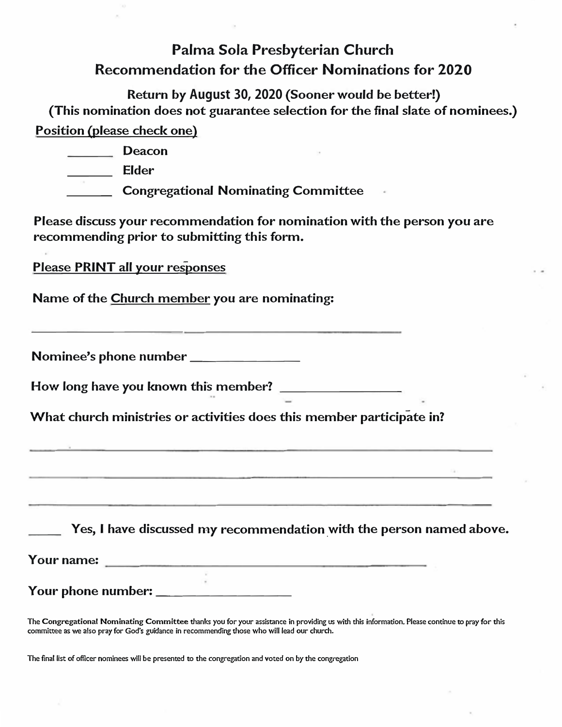## **Palma Sola Presbyterian Church Recommendation for the Officer Nominations for 2020**

**Return by August 30, 2020 (Sooner would be better!) (This nomination does not guarantee selection for the final slate of nominees.) Position (please check one)** 

| Deacon                                     |  |
|--------------------------------------------|--|
| Elder                                      |  |
| <b>Congregational Nominating Committee</b> |  |

**Please discuss your recommendation for nomination with the person you are recommending prior to submitting this form.** 

**Please PRINT all your responses** 

**Name of the Church member you are nominating:** 

**Nominee's phone number \_\_\_\_\_\_\_ \_** 

**How long have you known this member?** 

**What church ministries or activities does this member participate in?** 

**Yes, I have discussed my recommendation \_with the person named above.** 

**Your name:** 

**Your phone number: \_\_\_\_\_\_\_\_\_ \_** 

**The Congregational Nominating Committee thanks you for your assistance in providing us with this information. Please continue to pray for this committee as we also pray for God's guidance in recommending those who will lead our church.** 

**The final list of officer nominees will be presented to the congregation and voted on by the congregation**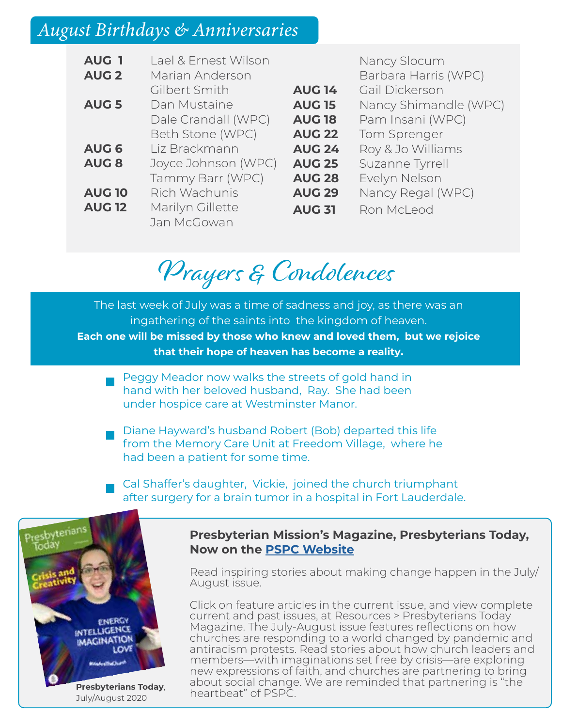## August Birthdays & Anniversaries

| <b>AUG 1</b>  | Lael & Frnest Wilson |  |  |  |  |  |
|---------------|----------------------|--|--|--|--|--|
| <b>AUG 2</b>  | Marian Anderson      |  |  |  |  |  |
|               | Gilbert Smith        |  |  |  |  |  |
| <b>AUG 5</b>  | Dan Mustaine         |  |  |  |  |  |
|               | Dale Crandall (WPC)  |  |  |  |  |  |
|               | Beth Stone (WPC)     |  |  |  |  |  |
| <b>AUG 6</b>  | Liz Brackmann        |  |  |  |  |  |
| <b>AUG 8</b>  | Joyce Johnson (WPC)  |  |  |  |  |  |
|               | Tammy Barr (WPC)     |  |  |  |  |  |
| <b>AUG 10</b> | Rich Wachunis        |  |  |  |  |  |
| <b>AUG 12</b> | Marilyn Gillette     |  |  |  |  |  |
|               | Jan McGowan          |  |  |  |  |  |

|               | Nancy Slocum          |
|---------------|-----------------------|
|               | Barbara Harris (WPC)  |
| <b>AUG 14</b> | Gail Dickerson        |
| <b>AUG 15</b> | Nancy Shimandle (WPC) |
| <b>AUG 18</b> | Pam Insani (WPC)      |
| <b>AUG 22</b> | Tom Sprenger          |
| <b>AUG 24</b> | Roy & Jo Williams     |
| <b>AUG 25</b> | Suzanne Tyrrell       |
| <b>AUG 28</b> | Evelyn Nelson         |
| <b>AUG 29</b> | Nancy Regal (WPC)     |
| <b>AUG 31</b> | Ron McLeod            |
|               |                       |

## Prayers & Condolences

The last week of July was a time of sadness and joy, as there was an ingathering of the saints into the kingdom of heaven. **Each one will be missed by those who knew and loved them, but we rejoice that their hope of heaven has become a reality.**

- Peggy Meador now walks the streets of gold hand in hand with her beloved husband, Ray. She had been under hospice care at Westminster Manor.
- Diane Hayward's husband Robert (Bob) departed this life from the Memory Care Unit at Freedom Village, where he had been a patient for some time.
- Cal Shaffer's daughter, Vickie, joined the church triumphant after surgery for a brain tumor in a hospital in Fort Lauderdale.



#### **Presbyterian Mission's Magazine, Presbyterians Today, Now on the [PSPC Website](https://www.pspchurch.org/resources/pres_today.cfm)**

Read inspiring stories about making change happen in the July/ August issue.

Click on feature articles in the current issue, and view complete current and past issues, at Resources > Presbyterians Today Magazine. The July-August issue features reflections on how churches are responding to a world changed by pandemic and antiracism protests. Read stories about how church leaders and members—with imaginations set free by crisis—are exploring new expressions of faith, and churches are partnering to bring about social change. We are reminded that partnering is "the heartbeat" of PSPC.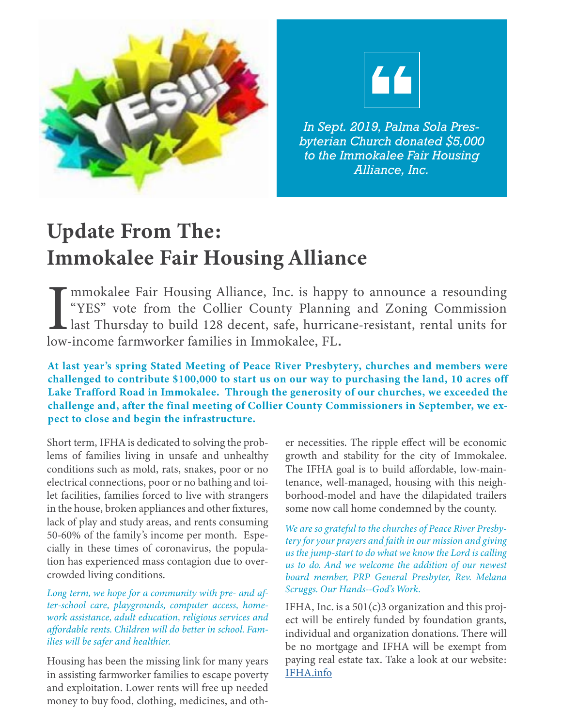



*In Sept. 2019, Palma Sola Presbyterian Church donated \$5,000 to the Immokalee Fair Housing Alliance, Inc.*

## Update From The: Immokalee Fair Housing Alliance

 $\prod_{\text{low-}}$ mmokalee Fair Housing Alliance, Inc. is happy to announce a resounding "YES" vote from the Collier County Planning and Zoning Commission last Thursday to build 128 decent, safe, hurricane-resistant, rental units for low-income farmworker families in Immokalee, FL.

At last year's spring Stated Meeting of Peace River Presbytery, churches and members were challenged to contribute \$100,000 to start us on our way to purchasing the land, 10 acres off Lake Trafford Road in Immokalee. Through the generosity of our churches, we exceeded the challenge and, after the final meeting of Collier County Commissioners in September, we expect to close and begin the infrastructure.

Short term, IFHA is dedicated to solving the problems of families living in unsafe and unhealthy conditions such as mold, rats, snakes, poor or no electrical connections, poor or no bathing and toilet facilities, families forced to live with strangers in the house, broken appliances and other fixtures, lack of play and study areas, and rents consuming 50-60% of the family's income per month. Especially in these times of coronavirus, the population has experienced mass contagion due to overcrowded living conditions.

*Long term, we hope for a community with pre- and after-school care, playgrounds, computer access, homework assistance, adult education, religious services and affordable rents. Children will do better in school. Families will be safer and healthier.*

Housing has been the missing link for many years in assisting farmworker families to escape poverty and exploitation. Lower rents will free up needed money to buy food, clothing, medicines, and oth-

er necessities. The ripple effect will be economic growth and stability for the city of Immokalee. The IFHA goal is to build affordable, low-maintenance, well-managed, housing with this neighborhood-model and have the dilapidated trailers some now call home condemned by the county.

 *Scruggs. Our Hands--God's Work. We are so grateful to the churches of Peace River Presbytery for your prayers and faith in our mission and giving us the jump-start to do what we know the Lord is calling us to do. And we welcome the addition of our newest board member, PRP General Presbyter, Rev. Melana* 

IFHA, Inc. is a  $501(c)3$  organization and this project will be entirely funded by foundation grants, individual and organization donations. There will be no mortgage and IFHA will be exempt from paying real estate tax. Take a look at our website: [IFHA.info](http://IFHA.info)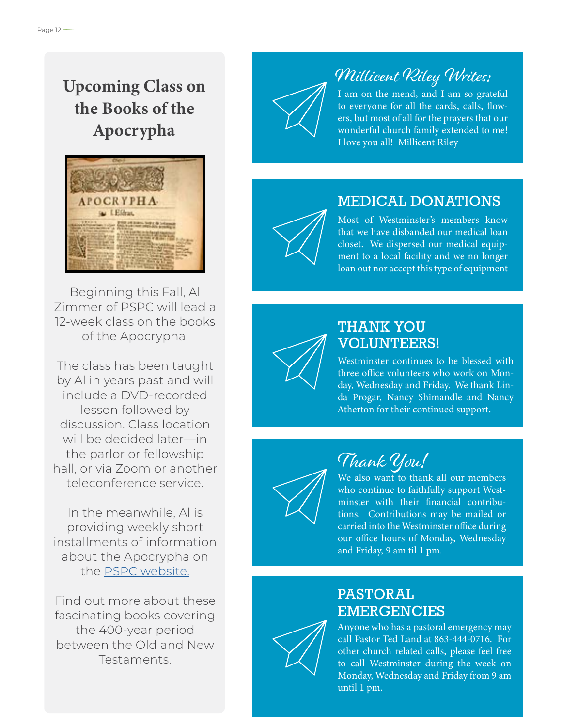## Upcoming Class on the Books of the Apocrypha



Beginning this Fall, Al Zimmer of PSPC will lead a 12-week class on the books of the Apocrypha.

The class has been taught by Al in years past and will include a DVD-recorded lesson followed by discussion. Class location will be decided later—in the parlor or fellowship hall, or via Zoom or another teleconference service.

In the meanwhile, Al is providing weekly short installments of information about the Apocrypha on the [PSPC website.](https://www.pspchurch.org/connect-grow/apocrypha.cfm)

Find out more about these fascinating books covering the 400-year period between the Old and New Testaments.

## Millicent Riley Writes:

I am on the mend, and I am so grateful to everyone for all the cards, calls, flowers, but most of all for the prayers that our wonderful church family extended to me! I love you all! Millicent Riley

## MEDICAL DONATIONS



Most of Westminster's members know that we have disbanded our medical loan closet. We dispersed our medical equipment to a local facility and we no longer loan out nor accept this type of equipment

### THANK YOU VOLUNTEERS!

Westminster continues to be blessed with three office volunteers who work on Monday, Wednesday and Friday. We thank Linda Progar, Nancy Shimandle and Nancy Atherton for their continued support.



## Thank You!

We also want to thank all our members who continue to faithfully support Westminster with their financial contributions. Contributions may be mailed or carried into the Westminster office during our office hours of Monday, Wednesday and Friday, 9 am til 1 pm.

## PASTORAL EMERGENCIES



Anyone who has a pastoral emergency may call Pastor Ted Land at 863-444-0716. For other church related calls, please feel free to call Westminster during the week on Monday, Wednesday and Friday from 9 am until 1 pm.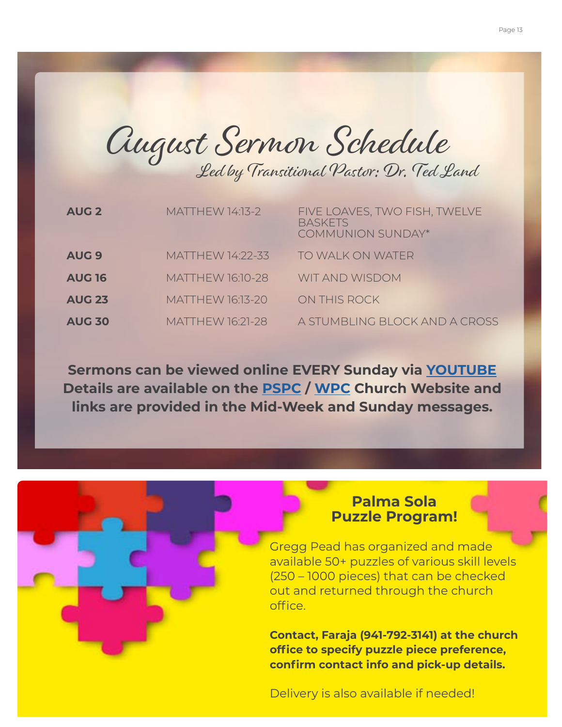August Sermon Schedule Led by Transitional Pastor: Dr. Ted Land

| <b>AUG 2</b>     | <b>MATTHEW 14:13-2</b>  | FIVE LOAVES, TWO FISH, TWELVE<br><b>BASKETS</b><br><b>COMMUNION SUNDAY*</b> |
|------------------|-------------------------|-----------------------------------------------------------------------------|
| AUG <sub>9</sub> | MATTHEW 14:22-33        | TO WALK ON WATER                                                            |
| <b>AUG 16</b>    | <b>MATTHEW 16:10-28</b> | <b>WIT AND WISDOM</b>                                                       |
| <b>AUG 23</b>    | <b>MATTHEW 16:13-20</b> | ON THIS ROCK                                                                |
| <b>AUG 30</b>    | <b>MATTHEW 16:21-28</b> | A STUMBLING BLOCK AND A CROSS                                               |

**Sermons can be viewed online EVERY Sunday via [YOUTUBE](https://www.youtube.com/channel/UCSv6oCwY2PO3wFD-vSQc1bA) Details are available on the [PSPC](https://www.pspchurch.org/resources/worship_online.cfm) / [WPC](https://www.wpcbradenton.com/worship-online) Church Website and links are provided in the Mid-Week and Sunday messages.**

#### **Palma Sola Puzzle Program!**

Gregg Pead has organized and made available 50+ puzzles of various skill levels (250 – 1000 pieces) that can be checked out and returned through the church office.

**Contact, Faraja (941-792-3141) at the church office to specify puzzle piece preference, confirm contact info and pick-up details.** 

Delivery is also available if needed!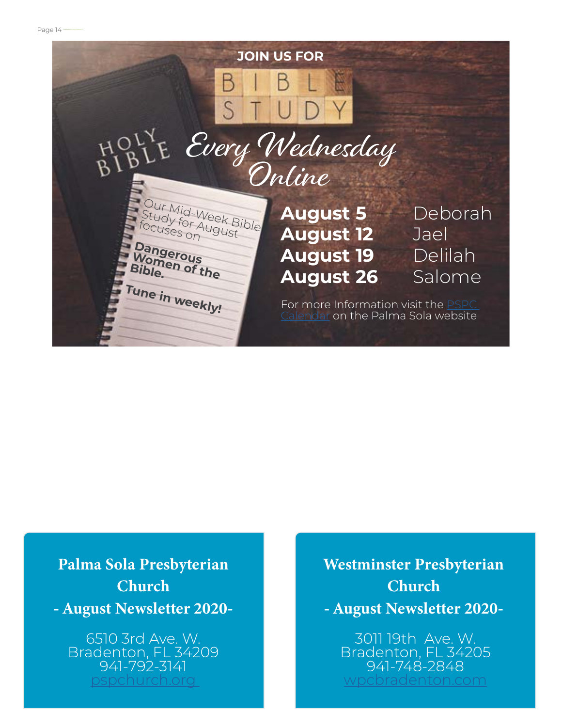

## Palma Sola Presbyterian **Church** - August Newsletter 2020-

6510 3rd Ave. W. Bradenton, FL 34209 941-792-3141 [pspchurch.org](https://www.pspchurch.org) 

Westminster Presbyterian Church - August Newsletter 2020-

3011 19th Ave. W. Bradenton, FL 34205 941-748-2848 [wpcbradenton.com](http://wpcbradenton.com)